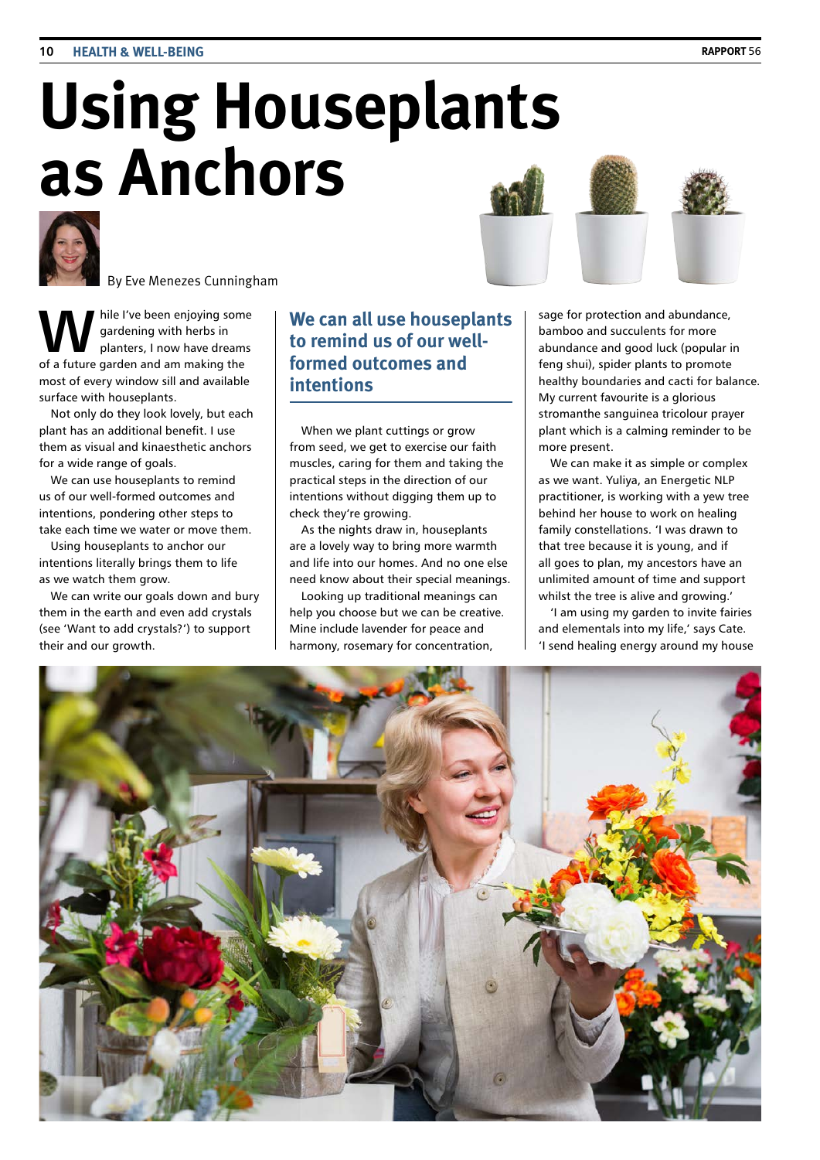# **Using Houseplants as Anchors**



By Eve Menezes Cunningham

hile I've been enjoying some gardening with herbs in planters, I now have dreams of a future garden and am making the most of every window sill and available surface with houseplants.

Not only do they look lovely, but each plant has an additional benefit. I use them as visual and kinaesthetic anchors for a wide range of goals.

We can use houseplants to remind us of our well-formed outcomes and intentions, pondering other steps to take each time we water or move them.

Using houseplants to anchor our intentions literally brings them to life as we watch them grow.

We can write our goals down and bury them in the earth and even add crystals (see 'Want to add crystals?') to support their and our growth.

## **We can all use houseplants to remind us of our wellformed outcomes and intentions**

When we plant cuttings or grow from seed, we get to exercise our faith muscles, caring for them and taking the practical steps in the direction of our intentions without digging them up to check they're growing.

As the nights draw in, houseplants are a lovely way to bring more warmth and life into our homes. And no one else need know about their special meanings.

Looking up traditional meanings can help you choose but we can be creative. Mine include lavender for peace and harmony, rosemary for concentration,

sage for protection and abundance, bamboo and succulents for more abundance and good luck (popular in feng shui), spider plants to promote healthy boundaries and cacti for balance. My current favourite is a glorious stromanthe sanguinea tricolour prayer plant which is a calming reminder to be more present.

We can make it as simple or complex as we want. Yuliya, an Energetic NLP practitioner, is working with a yew tree behind her house to work on healing family constellations. 'I was drawn to that tree because it is young, and if all goes to plan, my ancestors have an unlimited amount of time and support whilst the tree is alive and growing.'

'I am using my garden to invite fairies and elementals into my life,' says Cate. 'I send healing energy around my house